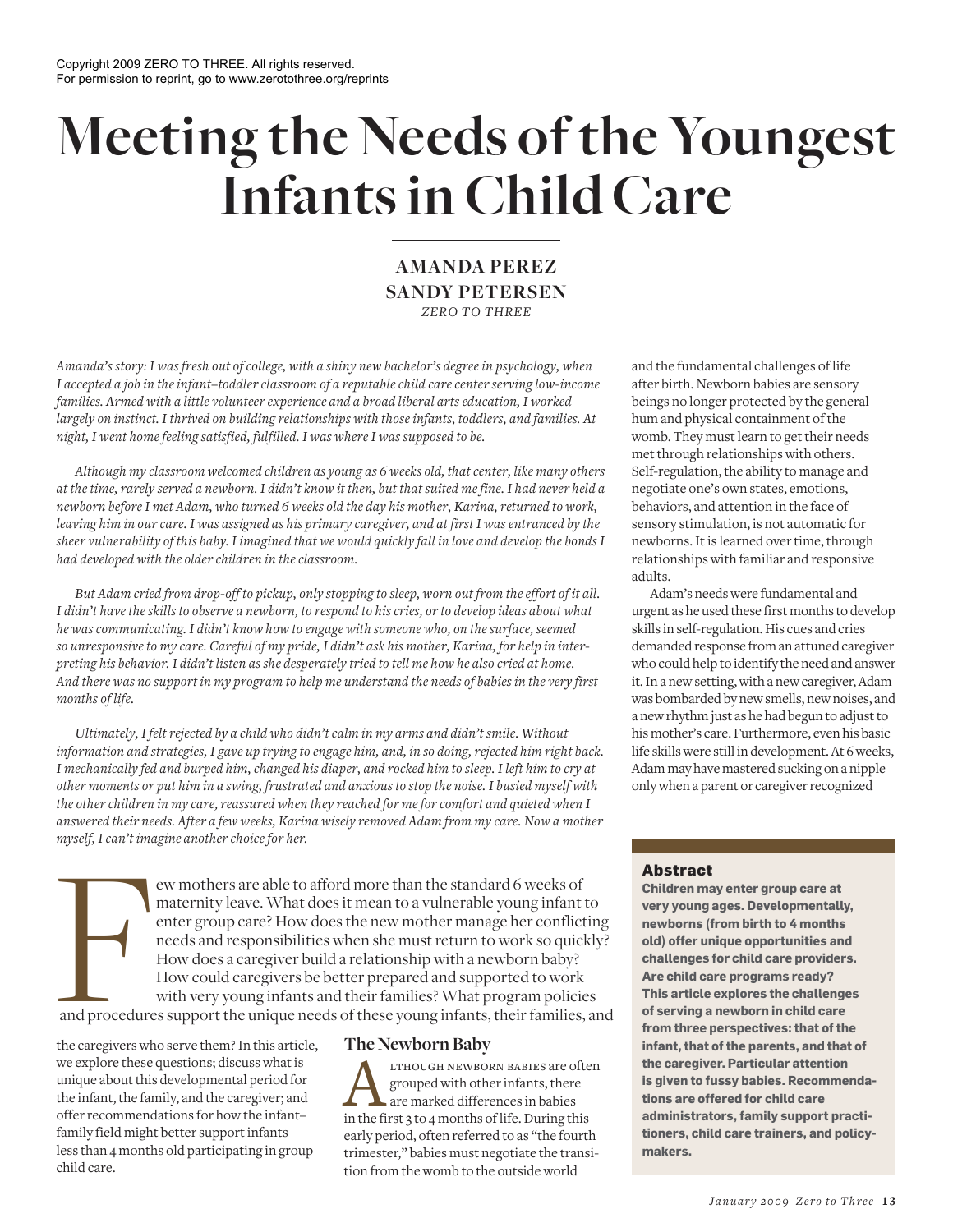# **Meeting the Needs of the Youngest Infants in Child Care**

# **AMANDA PEREZ SANDY PETERSEN** *ZERO TO THREE*

*Amanda's story: I was fresh out of college, with a shiny new bachelor's degree in psychology, when I accepted a job in the infant–toddler classroom of a reputable child care center serving low-income families. Armed with a little volunteer experience and a broad liberal arts education, I worked largely on instinct. I thrived on building relationships with those infants, toddlers, and families. At night, I went home feeling satisfied, fulfilled. I was where I was supposed to be.*

*Although my classroom welcomed children as young as 6 weeks old, that center, like many others at the time, rarely served a newborn. I didn't know it then, but that suited me fine. I had never held a newborn before I met Adam, who turned 6 weeks old the day his mother, Karina, returned to work, leaving him in our care. I was assigned as his primary caregiver, and at first I was entranced by the sheer vulnerability of this baby. I imagined that we would quickly fall in love and develop the bonds I had developed with the older children in the classroom.*

*But Adam cried from drop-off to pickup, only stopping to sleep, worn out from the effort of it all. I didn't have the skills to observe a newborn, to respond to his cries, or to develop ideas about what he was communicating. I didn't know how to engage with someone who, on the surface, seemed so unresponsive to my care. Careful of my pride, I didn't ask his mother, Karina, for help in interpreting his behavior. I didn't listen as she desperately tried to tell me how he also cried at home. And there was no support in my program to help me understand the needs of babies in the very first months of life.*

*Ultimately, I felt rejected by a child who didn't calm in my arms and didn't smile. Without information and strategies, I gave up trying to engage him, and, in so doing, rejected him right back. I mechanically fed and burped him, changed his diaper, and rocked him to sleep. I left him to cry at other moments or put him in a swing, frustrated and anxious to stop the noise. I busied myself with the other children in my care, reassured when they reached for me for comfort and quieted when I answered their needs. After a few weeks, Karina wisely removed Adam from my care. Now a mother myself, I can't imagine another choice for her.* 

For entarta than the standard when they reached you me for comport and queted when<br>answered their needs. After a few weeks, Karina wisely removed Adam from my care. Now a mot<br>myself, I can't imagine another choice for her. maternity leave. What does it mean to a vulnerable young infant to enter group care? How does the new mother manage her conflicting needs and responsibilities when she must return to work so quickly? How does a caregiver build a relationship with a newborn baby? How could caregivers be better prepared and supported to work with very young infants and their families? What program policies and procedures support the unique needs of these young infants, their families, and

the caregivers who serve them? In this article, we explore these questions; discuss what is unique about this developmental period for the infant, the family, and the caregiver; and offer recommendations for how the infant– family field might better support infants less than 4 months old participating in group child care.

# **The Newborn Baby**

**AN** LTHOUGH NEWBORN BABIES are ofte grouped with other infants, there are marked differences in babies in the first 3 to 4 months of life. During this lthough newborn babies are often grouped with other infants, there are marked differences in babies early period, often referred to as "the fourth trimester," babies must negotiate the transition from the womb to the outside world

and the fundamental challenges of life after birth. Newborn babies are sensory beings no longer protected by the general hum and physical containment of the womb. They must learn to get their needs met through relationships with others. Self-regulation, the ability to manage and negotiate one's own states, emotions, behaviors, and attention in the face of sensory stimulation, is not automatic for newborns. It is learned over time, through relationships with familiar and responsive adults.

Adam's needs were fundamental and urgent as he used these first months to develop skills in self-regulation. His cues and cries demanded response from an attuned caregiver who could help to identify the need and answer it. In a new setting, with a new caregiver, Adam was bombarded by new smells, new noises, and a new rhythm just as he had begun to adjust to his mother's care. Furthermore, even his basic life skills were still in development. At 6 weeks, Adam may have mastered sucking on a nipple only when a parent or caregiver recognized

## **Abstract**

**Children may enter group care at very young ages. Developmentally, newborns (from birth to 4 months old) offer unique opportunities and challenges for child care providers. Are child care programs ready? This article explores the challenges of serving a newborn in child care from three perspectives: that of the infant, that of the parents, and that of the caregiver. Particular attention is given to fussy babies. Recommendations are offered for child care administrators, family support practitioners, child care trainers, and policymakers.**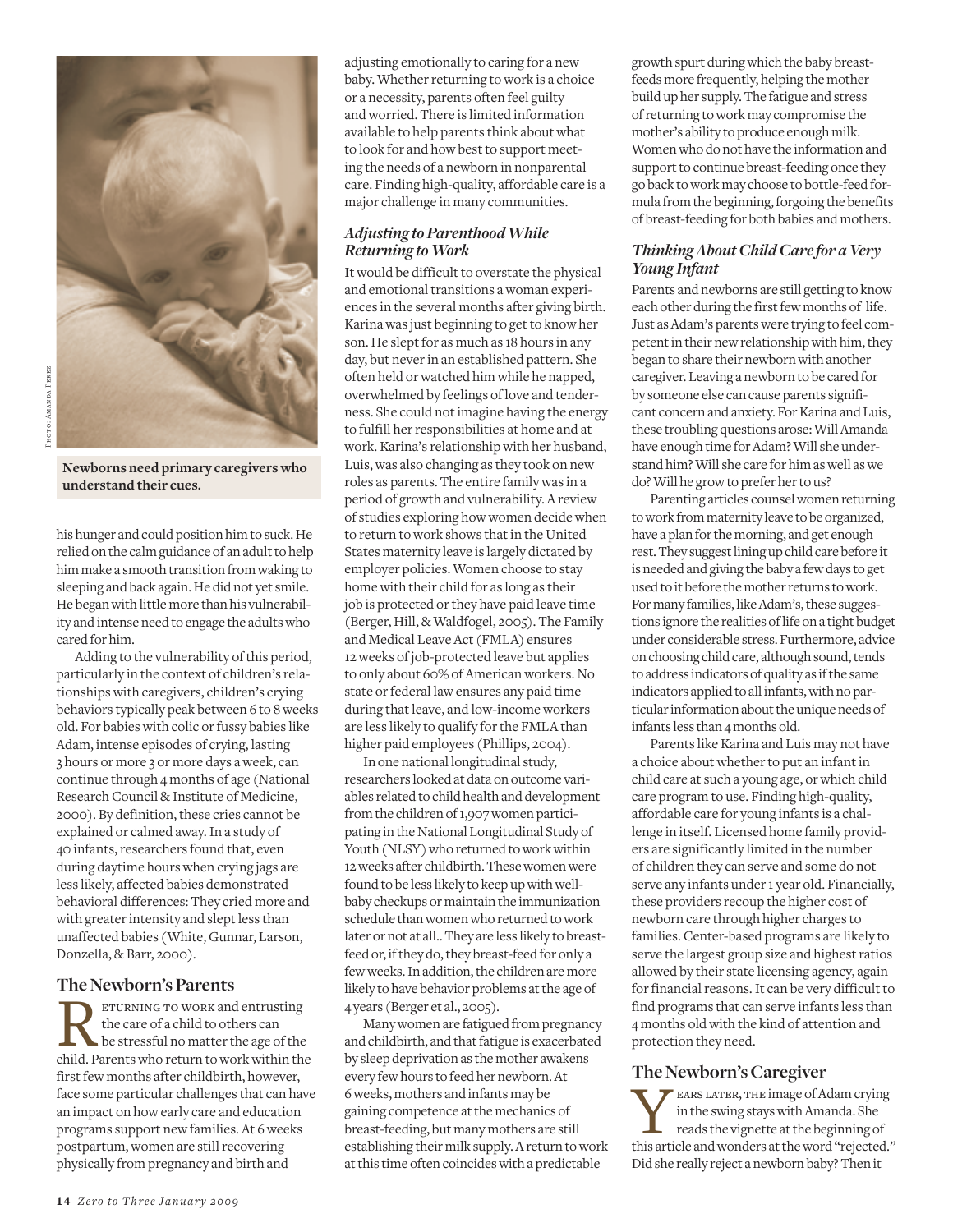

**Newborns need primary caregivers who understand their cues.**

his hunger and could position him to suck. He relied on the calm guidance of an adult to help him make a smooth transition from waking to sleeping and back again. He did not yet smile. He began with little more than his vulnerability and intense need to engage the adults who cared for him.

Adding to the vulnerability of this period, particularly in the context of children's relationships with caregivers, children's crying behaviors typically peak between 6 to 8 weeks old. For babies with colic or fussy babies like Adam, intense episodes of crying, lasting 3 hours or more 3 or more days a week, can continue through 4 months of age (National Research Council & Institute of Medicine, 2000). By definition, these cries cannot be explained or calmed away. In a study of 40 infants, researchers found that, even during daytime hours when crying jags are less likely, affected babies demonstrated behavioral differences: They cried more and with greater intensity and slept less than unaffected babies (White, Gunnar, Larson, Donzella, & Barr, 2000).

## **The Newborn's Parents**

FTURNING TO WORK and entrusting<br>the care of a child to others can<br>child. Parents who return to work within the eturning to work and entrusting the care of a child to others can be stressful no matter the age of the first few months after childbirth, however, face some particular challenges that can have an impact on how early care and education programs support new families. At 6 weeks postpartum, women are still recovering physically from pregnancy and birth and

adjusting emotionally to caring for a new baby. Whether returning to work is a choice or a necessity, parents often feel guilty and worried. There is limited information available to help parents think about what to look for and how best to support meeting the needs of a newborn in nonparental care. Finding high-quality, affordable care is a major challenge in many communities.

## *Adjusting to Parenthood While Returning to Work*

It would be difficult to overstate the physical and emotional transitions a woman experiences in the several months after giving birth. Karina was just beginning to get to know her son. He slept for as much as 18 hours in any day, but never in an established pattern. She often held or watched him while he napped, overwhelmed by feelings of love and tenderness. She could not imagine having the energy to fulfill her responsibilities at home and at work. Karina's relationship with her husband, Luis, was also changing as they took on new roles as parents. The entire family was in a period of growth and vulnerability. A review of studies exploring how women decide when to return to work shows that in the United States maternity leave is largely dictated by employer policies. Women choose to stay home with their child for as long as their job is protected or they have paid leave time (Berger, Hill, & Waldfogel, 2005). The Family and Medical Leave Act (FMLA) ensures 12 weeks of job-protected leave but applies to only about 60% of American workers. No state or federal law ensures any paid time during that leave, and low-income workers are less likely to qualify for the FMLA than higher paid employees (Phillips, 2004).

In one national longitudinal study, researchers looked at data on outcome variables related to child health and development from the children of 1,907 women participating in the National Longitudinal Study of Youth (NLSY) who returned to work within 12 weeks after childbirth. These women were found to be less likely to keep up with wellbaby checkups or maintain the immunization schedule than women who returned to work later or not at all.. They are less likely to breastfeed or, if they do, they breast-feed for only a few weeks. In addition, the children are more likely to have behavior problems at the age of 4 years (Berger et al., 2005).

Many women are fatigued from pregnancy and childbirth, and that fatigue is exacerbated by sleep deprivation as the mother awakens every few hours to feed her newborn. At 6 weeks, mothers and infants may be gaining competence at the mechanics of breast- feeding, but many mothers are still establishing their milk supply. A return to work at this time often coincides with a predictable

growth spurt during which the baby breastfeeds more frequently, helping the mother build up her supply. The fatigue and stress of returning to work may compromise the mother's ability to produce enough milk. Women who do not have the information and support to continue breast-feeding once they go back to work may choose to bottle-feed formula from the beginning, forgoing the benefits of breast-feeding for both babies and mothers.

## *Thinking About Child Care for a Very Young Infant*

Parents and newborns are still getting to know each other during the first few months of life. Just as Adam's parents were trying to feel competent in their new relationship with him, they began to share their newborn with another caregiver. Leaving a newborn to be cared for by someone else can cause parents significant concern and anxiety. For Karina and Luis, these troubling questions arose: Will Amanda have enough time for Adam? Will she understand him? Will she care for him as well as we do? Will he grow to prefer her to us?

Parenting articles counsel women returning to work from maternity leave to be organized, have a plan for the morning, and get enough rest. They suggest lining up child care before it is needed and giving the baby a few days to get used to it before the mother returns to work. For many families, like Adam's, these suggestions ignore the realities of life on a tight budget under considerable stress. Furthermore, advice on choosing child care, although sound, tends to address indicators of quality as if the same indicators applied to all infants, with no particular information about the unique needs of infants less than 4 months old.

Parents like Karina and Luis may not have a choice about whether to put an infant in child care at such a young age, or which child care program to use. Finding high-quality, affordable care for young infants is a challenge in itself. Licensed home family providers are significantly limited in the number of children they can serve and some do not serve any infants under 1 year old. Financially, these providers recoup the higher cost of newborn care through higher charges to families. Center-based programs are likely to serve the largest group size and highest ratios allowed by their state licensing agency, again for financial reasons. It can be very difficult to find programs that can serve infants less than 4 months old with the kind of attention and protection they need.

# **The Newborn's Caregiver**

EARS LATER, THE image of Adam crying<br>in the swing stays with Amanda. She<br>reads the vignette at the beginning of<br>this article and wonders at the word "rejected." **EARS LATER, THE image of Adam crying** in the swing stays with Amanda. She reads the vignette at the beginning of Did she really reject a newborn baby? Then it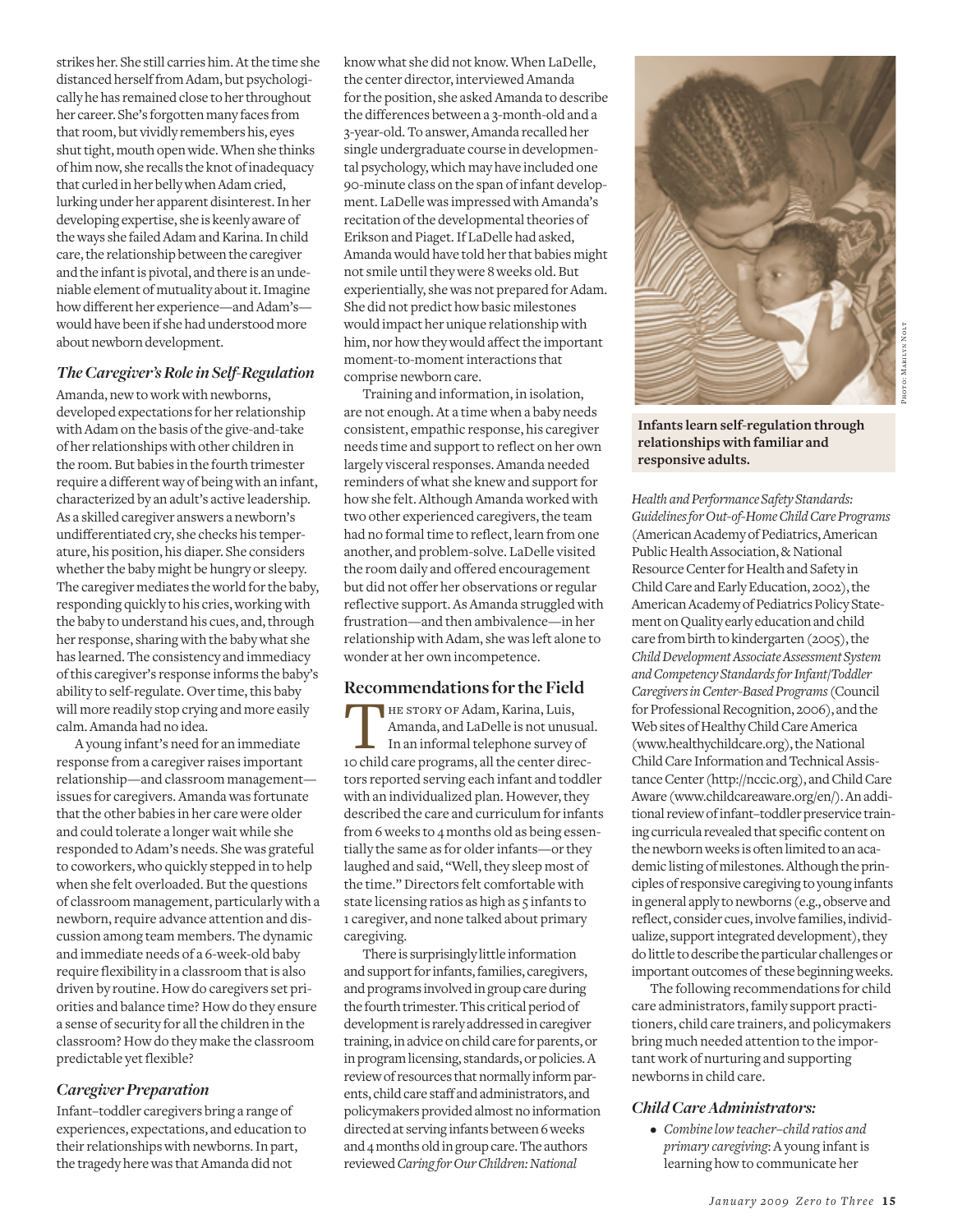strikes her. She still carries him. At the time she distanced herself from Adam, but psychologically he has remained close to her throughout her career. She's forgotten many faces from that room, but vividly remembers his, eyes shut tight, mouth open wide. When she thinks of him now, she recalls the knot of inadequacy that curled in her belly when Adam cried, lurking under her apparent disinterest. In her developing expertise, she is keenly aware of the ways she failed Adam and Karina. In child care, the relationship between the caregiver and the infant is pivotal, and there is an undeniable element of mutuality about it. Imagine how different her experience—and Adam's would have been if she had understood more about newborn development.

#### *The Caregiver's Role in Self-Regulation*

Amanda, new to work with newborns, developed expectations for her relationship with Adam on the basis of the give-and-take of her relationships with other children in the room. But babies in the fourth trimester require a different way of being with an infant, characterized by an adult's active leadership. As a skilled caregiver answers a newborn's undifferentiated cry, she checks his temperature, his position, his diaper. She considers whether the baby might be hungry or sleepy. The caregiver mediates the world for the baby, responding quickly to his cries, working with the baby to understand his cues, and, through her response, sharing with the baby what she has learned. The consistency and immediacy of this caregiver's response informs the baby's ability to self-regulate. Over time, this baby will more readily stop crying and more easily calm. Amanda had no idea.

A young infant's need for an immediate response from a caregiver raises important relationship—and classroom management issues for caregivers. Amanda was fortunate that the other babies in her care were older and could tolerate a longer wait while she responded to Adam's needs. She was grateful to coworkers, who quickly stepped in to help when she felt overloaded. But the questions of classroom management, particularly with a newborn, require advance attention and discussion among team members. The dynamic and immediate needs of a 6-week-old baby require flexibility in a classroom that is also driven by routine. How do caregivers set priorities and balance time? How do they ensure a sense of security for all the children in the classroom? How do they make the classroom predictable yet flexible?

## *Caregiver Preparation*

Infant–toddler caregivers bring a range of experiences, expectations, and education to their relationships with newborns. In part, the tragedy here was that Amanda did not

know what she did not know. When LaDelle, the center director, interviewed Amanda for the position, she asked Amanda to describe the differences between a 3-month-old and a 3-year-old. To answer, Amanda recalled her single undergraduate course in developmental psychology, which may have included one 90-minute class on the span of infant development. LaDelle was impressed with Amanda's recitation of the developmental theories of Erikson and Piaget. If LaDelle had asked, Amanda would have told her that babies might not smile until they were 8 weeks old. But experientially, she was not prepared for Adam. She did not predict how basic milestones would impact her unique relationship with him, nor how they would affect the important moment-to-moment interactions that comprise newborn care.

Training and information, in isolation, are not enough. At a time when a baby needs consistent, empathic response, his caregiver needs time and support to reflect on her own largely visceral responses. Amanda needed reminders of what she knew and support for how she felt. Although Amanda worked with two other experienced caregivers, the team had no formal time to reflect, learn from one another, and problem-solve. LaDelle visited the room daily and offered encouragement but did not offer her observations or regular reflective support. As Amanda struggled with frustration—and then ambivalence—in her relationship with Adam, she was left alone to wonder at her own incompetence.

#### **Recommendations for the Field**

THE STORY OF Adam, Karina, Luis,<br>Amanda, and LaDelle is not unusua<br>In an informal telephone survey of<br>10 child care programs, all the center direc-**HE STORY OF Adam, Karina, Luis,** Amanda, and LaDelle is not unusual. In an informal telephone survey of tors reported serving each infant and toddler with an individualized plan. However, they described the care and curriculum for infants from 6 weeks to 4 months old as being essentially the same as for older infants—or they laughed and said, "Well, they sleep most of the time." Directors felt comfortable with state licensing ratios as high as 5 infants to 1 caregiver, and none talked about primary caregiving.

There is surprisingly little information and support for infants, families, caregivers, and programs involved in group care during the fourth trimester. This critical period of development is rarely addressed in caregiver training, in advice on child care for parents, or in program licensing, standards, or policies. A review of resources that normally inform parents, child care staff and administrators, and policymakers provided almost no information directed at serving infants between 6 weeks and 4 months old in group care. The authors reviewed *Caring for Our Children: National* 



**Infants learn self-regulation through relationships with familiar and responsive adults.**

*Health and Performance Safety Standards: Guidelines for Out-of-Home Child Care Programs* (American Academy of Pediatrics, American Public Health Association, & National Resource Center for Health and Safety in Child Care and Early Education, 2002), the American Academy of Pediatrics Policy Statement on Quality early education and child care from birth to kindergarten (2005), the *Child Development Associate Assessment System and Competency Standards for Infant/Toddler Caregivers in Center-Based Programs* (Council for Professional Recognition, 2006), and the Web sites of Healthy Child Care America (www.healthychildcare.org), the National Child Care Information and Technical Assistance Center (http://nccic.org), and Child Care Aware (www.childcareaware.org/en/). An additional review of infant–toddler preservice training curricula revealed that specific content on the newborn weeks is often limited to an academic listing of milestones. Although the principles of responsive caregiving to young infants in general apply to newborns (e.g., observe and reflect, consider cues, involve families, individualize, support integrated development), they do little to describe the particular challenges or important outcomes of these beginning weeks.

The following recommendations for child care administrators, family support practitioners, child care trainers, and policymakers bring much needed attention to the important work of nurturing and supporting newborns in child care.

#### *Child Care Administrators:*

• *Combine low teacher–child ratios and primary caregiving*: A young infant is learning how to communicate her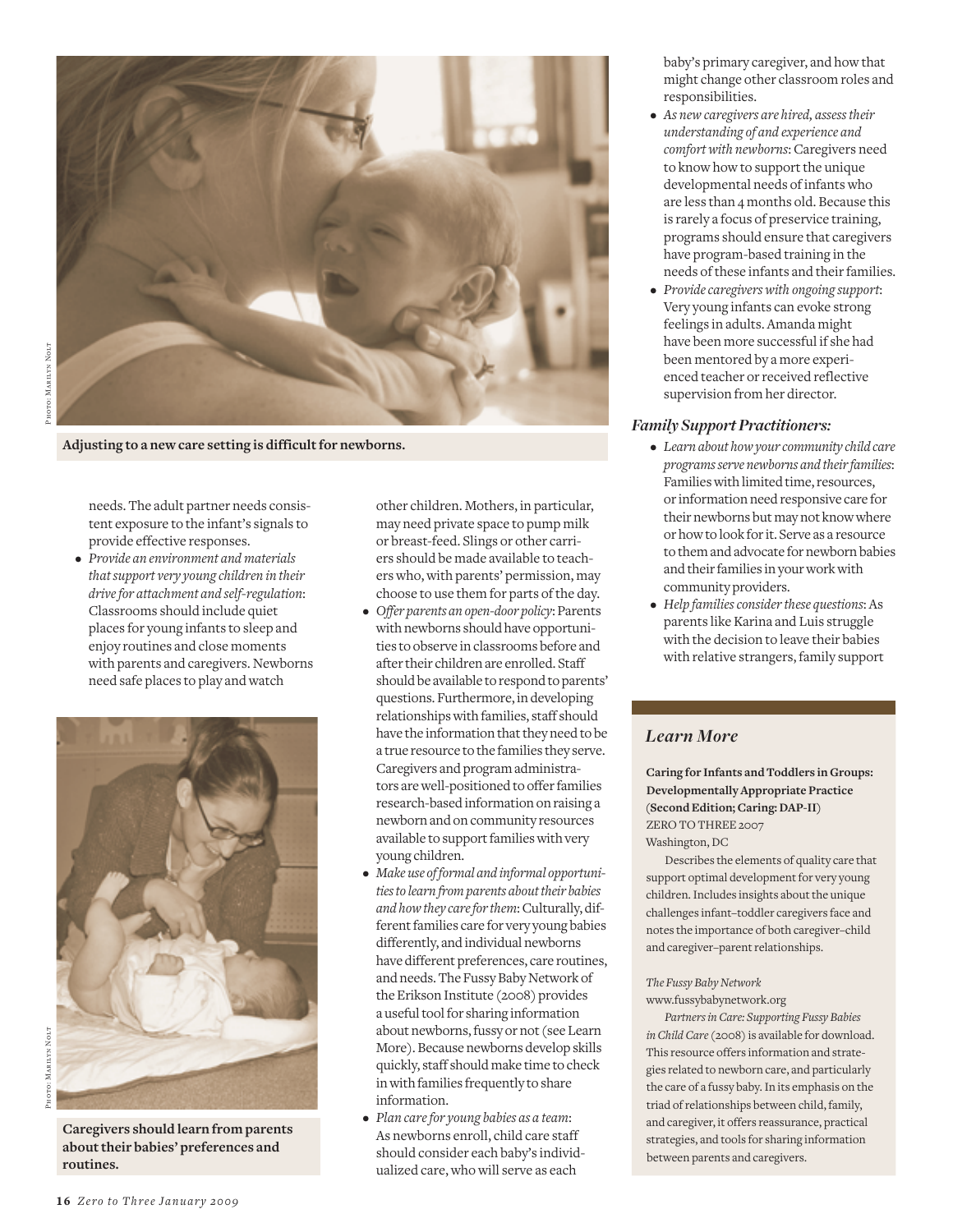

**Adjusting to a new care setting is difficult for newborns.**

needs. The adult partner needs consistent exposure to the infant's signals to provide effective responses.

• *Provide an environment and materials that support very young children in their drive for attachment and self- regulation*: Classrooms should include quiet places for young infants to sleep and enjoy routines and close moments with parents and caregivers. Newborns need safe places to play and watch



**Caregivers should learn from parents about their babies' preferences and routines.**

other children. Mothers, in particular, may need private space to pump milk or breast-feed. Slings or other carriers should be made available to teachers who, with parents' permission, may choose to use them for parts of the day.

- *Offer parents an open-door policy*: Parents with newborns should have opportunities to observe in classrooms before and after their children are enrolled. Staff should be available to respond to parents' questions. Furthermore, in developing relationships with families, staff should have the information that they need to be a true resource to the families they serve. Caregivers and program administrators are well-positioned to offer families research-based information on raising a newborn and on community resources available to support families with very young children.
- *Make use of formal and informal opportunities to learn from parents about their babies and how they care for them*: Culturally, different families care for very young babies differently, and individual newborns have different preferences, care routines, and needs. The Fussy Baby Network of the Erikson Institute (2008) provides a useful tool for sharing information about newborns, fussy or not (see Learn More). Because newborns develop skills quickly, staff should make time to check in with families frequently to share information.
- *Plan care for young babies as a team*: As newborns enroll, child care staff should consider each baby's individualized care, who will serve as each

baby's primary caregiver, and how that might change other classroom roles and responsibilities.

- *As new caregivers are hired, assess their understanding of and experience and comfort with newborns*: Caregivers need to know how to support the unique developmental needs of infants who are less than 4 months old. Because this is rarely a focus of preservice training, programs should ensure that caregivers have program-based training in the needs of these infants and their families.
- *Provide caregivers with ongoing support*: Very young infants can evoke strong feelings in adults. Amanda might have been more successful if she had been mentored by a more experienced teacher or received reflective supervision from her director.

## *Family Support Practitioners:*

- *Learn about how your community child care programs serve newborns and their families*: Families with limited time, resources, or information need responsive care for their newborns but may not know where or how to look for it. Serve as a resource to them and advocate for newborn babies and their families in your work with community providers.
- *Help families consider these questions*: As parents like Karina and Luis struggle with the decision to leave their babies with relative strangers, family support

# *Learn More*

**Caring for Infants and Toddlers in Groups: Developmentally Appropriate Practice (Second Edition; Caring: DAP-II)** ZERO TO THREE 2007 Washington, DC

Describes the elements of quality care that support optimal development for very young children. Includes insights about the unique challenges infant–toddler caregivers face and notes the importance of both caregiver–child and caregiver–parent relationships.

# *The Fussy Baby Network*

#### www.fussybabynetwork.org

*Partners in Care: Supporting Fussy Babies in Child Care* (2008) is available for download. This resource offers information and strategies related to newborn care, and particularly the care of a fussy baby. In its emphasis on the triad of relationships between child, family, and caregiver, it offers reassurance, practical strategies, and tools for sharing information between parents and caregivers.